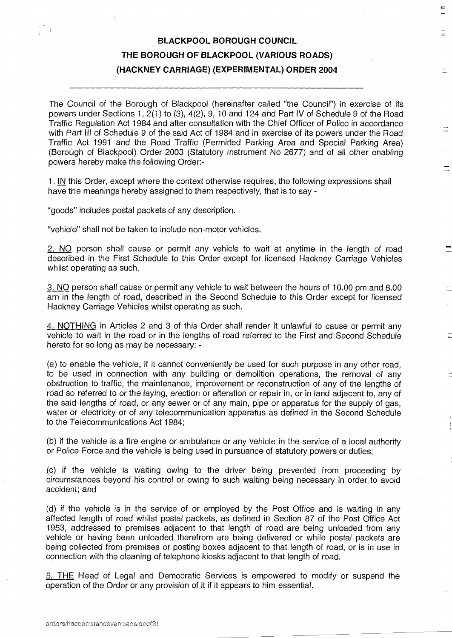## BLACKPOOL BOROUGH COUNCIL THE BOROUGH OF BLACKPOOL (VARIOUS ROADS) (HACKNEY CARRIAGE) (EXPERIMENTAL) ORDER 2004

The Council of the Borough of Blackpool (hereinafter called "the Council") in exercise of its powers under Sections 1, 2(1) to (3), 4(2), 9, 10 and 124 and Part IV of Schedule 9 of the Road Traffic Regulation Act 1984 and after consultation with the Chief Officer of Police in accordance with Part III of Schedule 9 of the said Act of 1984 and in exercise of its powers under the Road Traffic Act 1991 and the Road Traffic (Permitted Parking Area and Special Parking Area) (Borough of Blackpool) Order 2003 (Statutory Instrument No 2677) and of all other enabling powers hereby make the following Order:-

<sup>1</sup> . IN this Order, except where the context otherwise requires, the following expressions shall have the meanings hereby assigned to them respectively, that is to say -

"goods" includes postal packets of any description .

"vehicle" shall not be taken to include non-motor vehicles.

2. NO person shall cause or permit any vehicle to wait at anytime in the length of road described in the First Schedule to this Order except for licensed Hackney Carriage Vehicles whilst operating as such.

<sup>3</sup> . NO person shall cause or permit any vehicle to wait between the hours of 10.00 pm and 6.00 am in the length of road, described in the Second Schedule to this Order except for licensed Hackney Carriage Vehicles whilst operating as such .

4 . NOTHING in Articles 2 and 3 of this Order shall render it unlawful to cause or permit any vehicle to wait in the road or in the lengths of road referred to the First and Second Schedule hereto for so long as may be necessary: -

(a) to enable the vehicle, if it cannot conveniently be used for such purpose in any other road, to be used in connection with any building or demolition operations, the removal of any obstruction to traffic, the maintenance, improvement or reconstruction of any of the lengths of road so referred to or the laying, erection or alteration or repair in, or in land adjacent to, any of the said lengths of road, or any sewer or of any main, pipe or apparatus for the supply of gas, water or electricity or of any telecommunication apparatus as defined in the Second Schedule to the Telecommunications Act 1984;

(b) if the vehicle is a fire engine or ambulance or any vehicle in the service of a local authority or Police Force and the vehicle is being used in pursuance of statutory powers or duties ;

(c) if the vehicle is waiting owing to the driver being prevented from proceeding by circumstances beyond his control or owing to such waiting being necessary in order to avoid accident; and

(d) if the vehicle is in the service of or employed by the Post Office and is waiting in any affected length of road whilst postal packets, as defined in Section 87 of the Post Office Act 1953, addressed to premises adjacent to that length of road are being unloaded from any vehicle or having been unloaded therefrom are being delivered or while postal packets are being collected from premises or posting boxes adjacent to that length of road, or is in use in connection with the cleaning of telephone kiosks adjacent to that length of road.

5. THE Head of Legal and Democratic Services is empowered to modify or suspend the operation of the Order or any provision of it if it appears to him essential .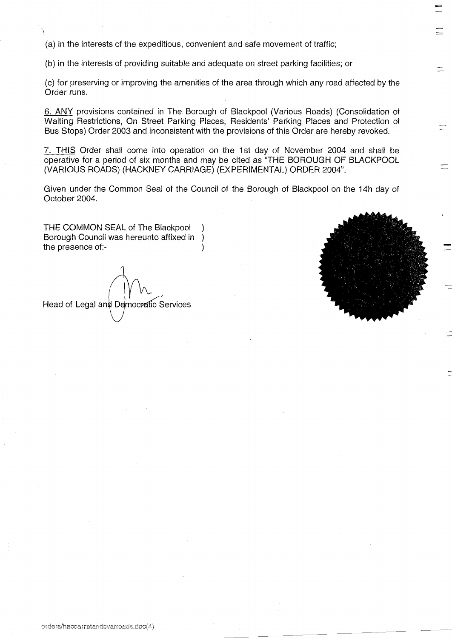(a) in the interests of the expeditious, convenient and safe movement of traffic;

(b) in the interests of providing suitable and adequate on street parking facilities ; or

(c) for preserving or improving the amenities of the area through which any road affected by the Order runs.

6. ANY provisions contained in The Borough of Blackpool (Various Roads) (Consolidation of Waiting Restrictions, On Street Parking Places, Residents' Parking Places and Protection of Bus Stops) Order 2003 and inconsistent with the provisions of this Order are hereby revoked.

7. THIS Order shall come into operation on the 1st day of November 2004 and shall be operative for a period of six months and may be cited as "THE BOROUGH OF BLACKPOOL (VARIOUS ROADS) (HACKNEY CARRIAGE) (EXPERIMENTAL) ORDER 2004".

Given under the Common Seal of the Council of the Borough of Blackpool on the 14h day of October 2004.

THE COMMON SEAL of The Blackpool Borough Council was hereunto affixed in ) the presence of:-

Head of Legal and Democratic Services



 $\equiv$